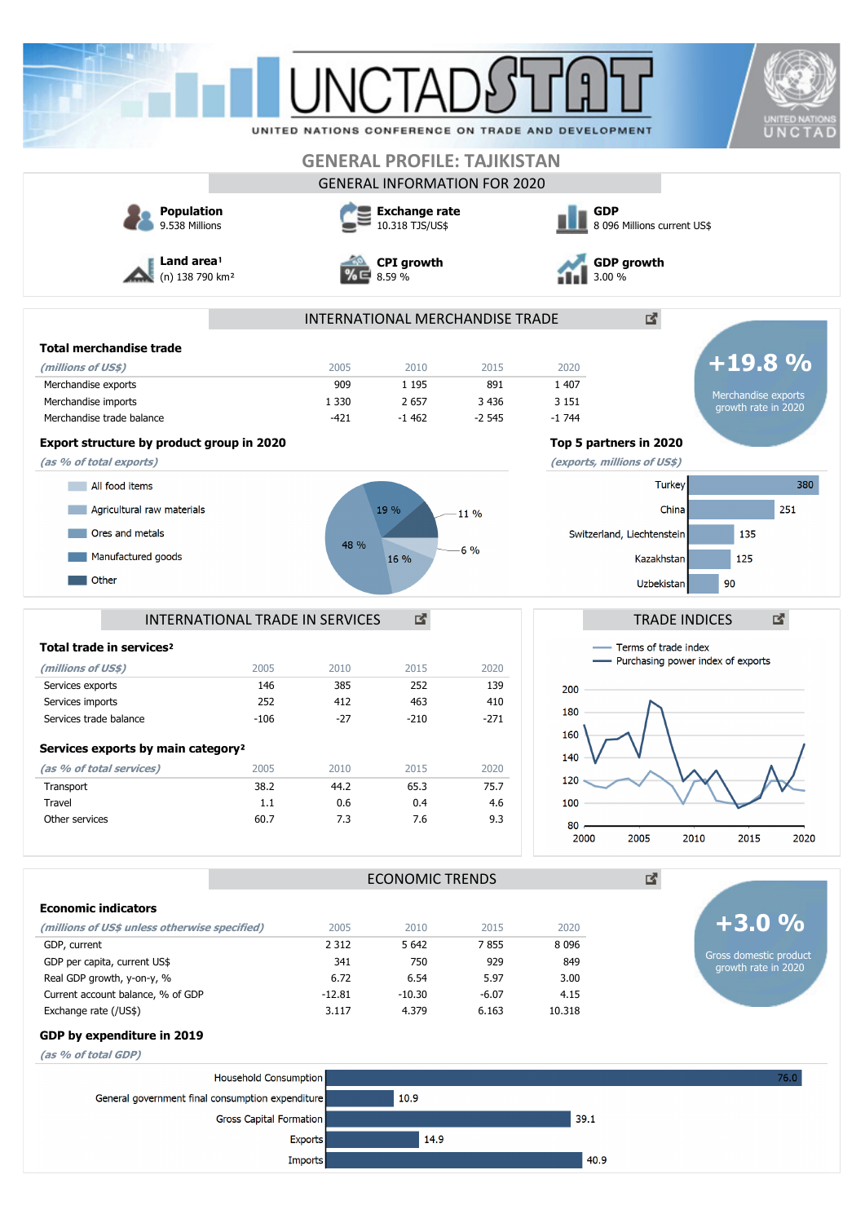|                                                                                                                                                                                                                                                                                                                                                                          | UNITED NATIONS CONFERENCE ON TRADE AND DEVELOPMENT |                                         |                             |                                     |                                           |                                                                    |                                                                          |
|--------------------------------------------------------------------------------------------------------------------------------------------------------------------------------------------------------------------------------------------------------------------------------------------------------------------------------------------------------------------------|----------------------------------------------------|-----------------------------------------|-----------------------------|-------------------------------------|-------------------------------------------|--------------------------------------------------------------------|--------------------------------------------------------------------------|
|                                                                                                                                                                                                                                                                                                                                                                          |                                                    |                                         |                             | <b>GENERAL PROFILE: TAJIKISTAN</b>  |                                           |                                                                    |                                                                          |
|                                                                                                                                                                                                                                                                                                                                                                          |                                                    |                                         |                             | <b>GENERAL INFORMATION FOR 2020</b> |                                           |                                                                    |                                                                          |
| <b>Population</b><br>9.538 Millions                                                                                                                                                                                                                                                                                                                                      |                                                    | <b>Exchange rate</b><br>10.318 TJS/US\$ |                             |                                     | <b>GDP</b><br>8 096 Millions current US\$ |                                                                    |                                                                          |
| Land area!<br>(n) 138 790 km <sup>2</sup>                                                                                                                                                                                                                                                                                                                                |                                                    |                                         | <b>CPI</b> growth<br>8.59 % |                                     | 3.00 %                                    | <b>GDP growth</b>                                                  |                                                                          |
|                                                                                                                                                                                                                                                                                                                                                                          |                                                    |                                         |                             | INTERNATIONAL MERCHANDISE TRADE     |                                           | 凶.                                                                 |                                                                          |
| <b>Total merchandise trade</b>                                                                                                                                                                                                                                                                                                                                           |                                                    |                                         |                             |                                     |                                           |                                                                    |                                                                          |
| (millions of US\$)                                                                                                                                                                                                                                                                                                                                                       |                                                    | 2005                                    | 2010                        | 2015                                | 2020                                      |                                                                    | $+19.8%$                                                                 |
| Merchandise exports                                                                                                                                                                                                                                                                                                                                                      |                                                    | 909                                     | 1 1 9 5                     | 891                                 | 1 4 0 7                                   |                                                                    | Merchandise exports                                                      |
| Merchandise imports                                                                                                                                                                                                                                                                                                                                                      |                                                    | 1 3 3 0                                 | 2 6 5 7                     | 3 4 3 6                             | 3 1 5 1                                   |                                                                    | growth rate in 2020                                                      |
| Merchandise trade balance                                                                                                                                                                                                                                                                                                                                                |                                                    | $-421$                                  | $-1462$                     | $-2545$                             | $-1744$                                   |                                                                    |                                                                          |
| Export structure by product group in 2020                                                                                                                                                                                                                                                                                                                                |                                                    |                                         |                             |                                     |                                           | Top 5 partners in 2020                                             |                                                                          |
| (as % of total exports)                                                                                                                                                                                                                                                                                                                                                  |                                                    |                                         |                             |                                     |                                           | (exports, millions of US\$)                                        |                                                                          |
| All food items                                                                                                                                                                                                                                                                                                                                                           |                                                    |                                         |                             |                                     |                                           | <b>Turkey</b>                                                      | 380                                                                      |
| Agricultural raw materials                                                                                                                                                                                                                                                                                                                                               |                                                    |                                         | 19 %                        | 11 %                                |                                           | China                                                              | 251                                                                      |
| Ores and metals                                                                                                                                                                                                                                                                                                                                                          |                                                    |                                         |                             |                                     |                                           |                                                                    |                                                                          |
|                                                                                                                                                                                                                                                                                                                                                                          |                                                    | 48 %                                    |                             | 6%                                  |                                           | Switzerland, Liechtenstein                                         | 135                                                                      |
| Manufactured goods                                                                                                                                                                                                                                                                                                                                                       |                                                    |                                         | 16 %                        |                                     |                                           |                                                                    | 125                                                                      |
|                                                                                                                                                                                                                                                                                                                                                                          |                                                    |                                         |                             |                                     |                                           | Kazakhstan                                                         |                                                                          |
| Other<br>INTERNATIONAL TRADE IN SERVICES<br>Total trade in services <sup>2</sup>                                                                                                                                                                                                                                                                                         |                                                    |                                         | 國                           |                                     |                                           | 90<br>Uzbekistan<br><b>TRADE INDICES</b><br>- Terms of trade index | 國                                                                        |
|                                                                                                                                                                                                                                                                                                                                                                          | 2005<br>146<br>252                                 | 2010<br>385<br>412                      | 2015<br>252<br>463          | 2020<br>139<br>410                  | 200                                       | - Purchasing power index of exports                                |                                                                          |
|                                                                                                                                                                                                                                                                                                                                                                          | $-106$                                             | -27                                     | $-210$                      | $-271$                              | 180<br>160                                |                                                                    |                                                                          |
|                                                                                                                                                                                                                                                                                                                                                                          |                                                    |                                         |                             |                                     | 140                                       |                                                                    |                                                                          |
|                                                                                                                                                                                                                                                                                                                                                                          | 2005                                               | 2010                                    | 2015                        | 2020                                |                                           |                                                                    |                                                                          |
|                                                                                                                                                                                                                                                                                                                                                                          | 38.2                                               | 44.2                                    | 65.3                        | 75.7                                | 120                                       |                                                                    |                                                                          |
|                                                                                                                                                                                                                                                                                                                                                                          | 1.1<br>60.7                                        | 0.6<br>7.3                              | 0.4<br>7.6                  | 4.6<br>9.3                          | 100                                       |                                                                    |                                                                          |
|                                                                                                                                                                                                                                                                                                                                                                          |                                                    |                                         |                             |                                     | 80<br>2000                                | 2005<br>2010                                                       | 2015                                                                     |
|                                                                                                                                                                                                                                                                                                                                                                          |                                                    |                                         | <b>ECONOMIC TRENDS</b>      |                                     |                                           | 凶.                                                                 |                                                                          |
|                                                                                                                                                                                                                                                                                                                                                                          |                                                    |                                         |                             |                                     |                                           |                                                                    |                                                                          |
|                                                                                                                                                                                                                                                                                                                                                                          |                                                    | 2005                                    | 2010                        | 2015                                | 2020                                      |                                                                    |                                                                          |
|                                                                                                                                                                                                                                                                                                                                                                          |                                                    | 2 3 1 2                                 | 5 6 42                      | 7855                                | 8 0 9 6                                   |                                                                    |                                                                          |
|                                                                                                                                                                                                                                                                                                                                                                          |                                                    | 341                                     | 750                         | 929                                 | 849                                       |                                                                    |                                                                          |
| (millions of US\$)<br>Services exports<br>Services imports<br>Services trade balance<br>Services exports by main category <sup>2</sup><br>(as % of total services)<br>Transport<br>Travel<br>Other services<br><b>Economic indicators</b><br>(millions of US\$ unless otherwise specified)<br>GDP, current<br>GDP per capita, current US\$<br>Real GDP growth, y-on-y, % |                                                    | 6.72                                    | 6.54                        | 5.97                                | 3.00                                      |                                                                    |                                                                          |
|                                                                                                                                                                                                                                                                                                                                                                          |                                                    | $-12.81$                                | $-10.30$                    | $-6.07$                             | 4.15                                      |                                                                    |                                                                          |
|                                                                                                                                                                                                                                                                                                                                                                          |                                                    | 3.117                                   | 4.379                       | 6.163                               | 10.318                                    |                                                                    |                                                                          |
|                                                                                                                                                                                                                                                                                                                                                                          |                                                    |                                         |                             |                                     |                                           |                                                                    |                                                                          |
| Current account balance, % of GDP<br>Exchange rate (/US\$)<br>GDP by expenditure in 2019<br>(as % of total GDP)                                                                                                                                                                                                                                                          | Household Consumption                              |                                         |                             |                                     |                                           |                                                                    | 2020<br>$+3.0%$<br>Gross domestic product<br>growth rate in 2020<br>76.0 |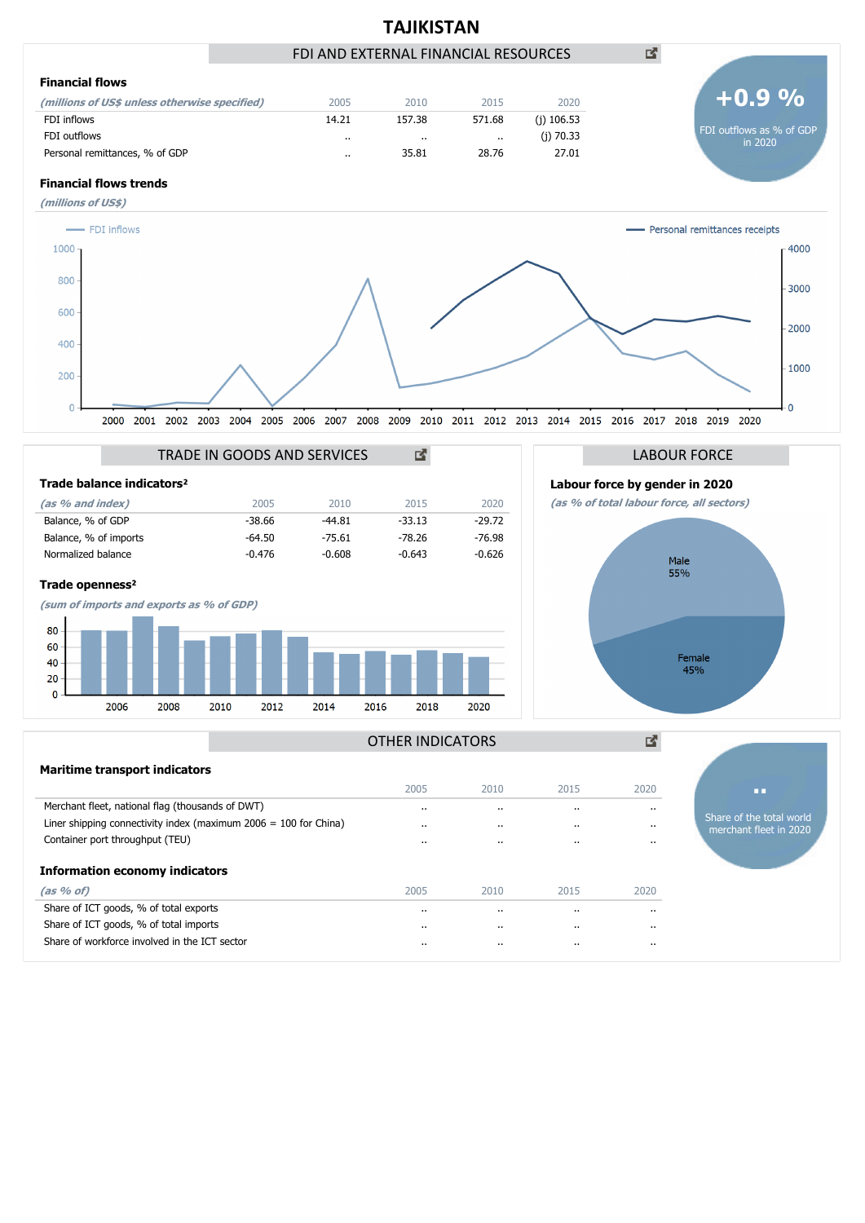

**Information economy indicators**

**(as % of)** 2005 2010 2015 2020 Share of ICT goods, % of total exports .. .. .. .. Share of ICT goods, % of total imports .. .. .. .. Share of workforce involved in the ICT sector .. .. .. ..